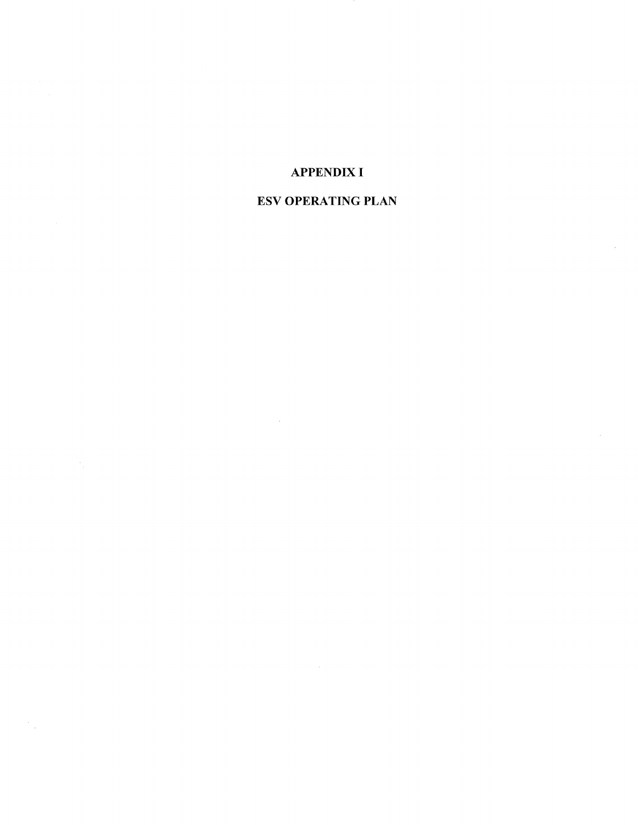## **APPENDIX I**

## **ESV OPERATING PLAN**

 $\sim$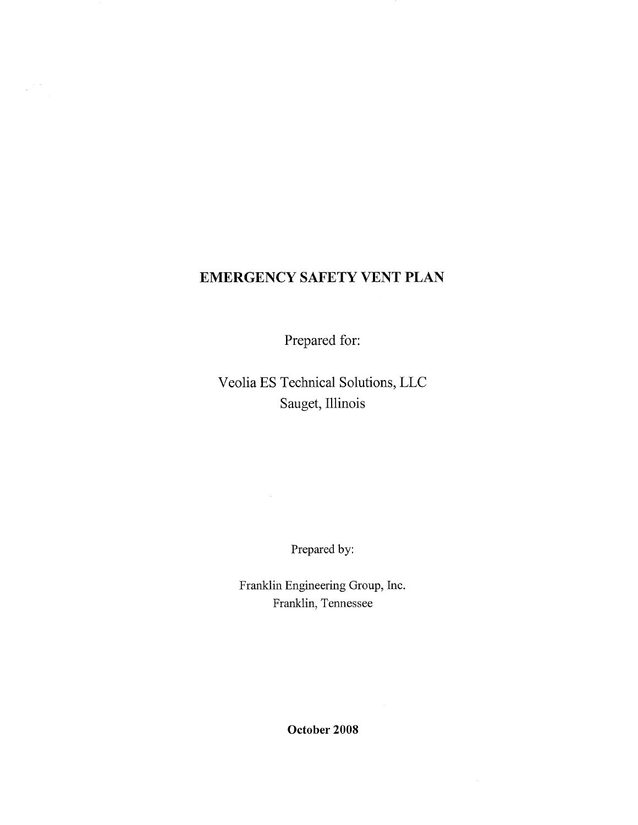# **EMERGENCY SAFETY VENT PLAN**

Prepared for:

Veolia ES Technical Solutions, LLC Sauget, Illinois

Prepared by:

Franklin Engineering Group, Inc. Franklin, Tennessee

**October 2008**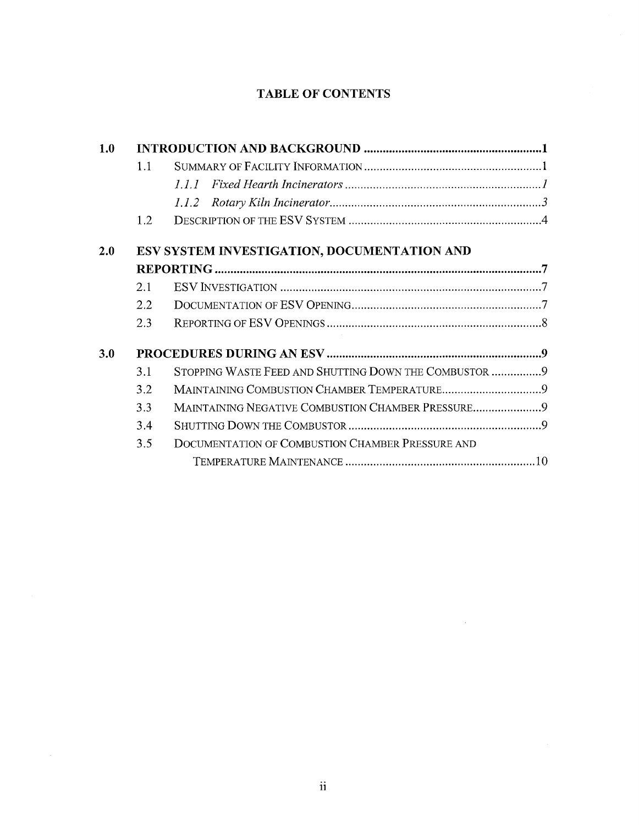## **TABLE OF CONTENTS**

| 1.0 |                                             |                                                       |  |  |  |
|-----|---------------------------------------------|-------------------------------------------------------|--|--|--|
|     | 1.1                                         |                                                       |  |  |  |
|     |                                             | 111                                                   |  |  |  |
|     |                                             | 1.1.2                                                 |  |  |  |
|     | 1.2                                         |                                                       |  |  |  |
| 2.0 | ESV SYSTEM INVESTIGATION, DOCUMENTATION AND |                                                       |  |  |  |
|     |                                             |                                                       |  |  |  |
|     | 2.1                                         |                                                       |  |  |  |
|     | 2.2                                         |                                                       |  |  |  |
|     | 2.3                                         |                                                       |  |  |  |
| 3.0 |                                             |                                                       |  |  |  |
|     | 3.1                                         | STOPPING WASTE FEED AND SHUTTING DOWN THE COMBUSTOR 9 |  |  |  |
|     | 3.2                                         |                                                       |  |  |  |
|     | 3.3                                         | MAINTAINING NEGATIVE COMBUSTION CHAMBER PRESSURE9     |  |  |  |
|     | 3.4                                         |                                                       |  |  |  |
|     | 3.5                                         | DOCUMENTATION OF COMBUSTION CHAMBER PRESSURE AND      |  |  |  |
|     |                                             |                                                       |  |  |  |

 $\hat{\vec{r}}$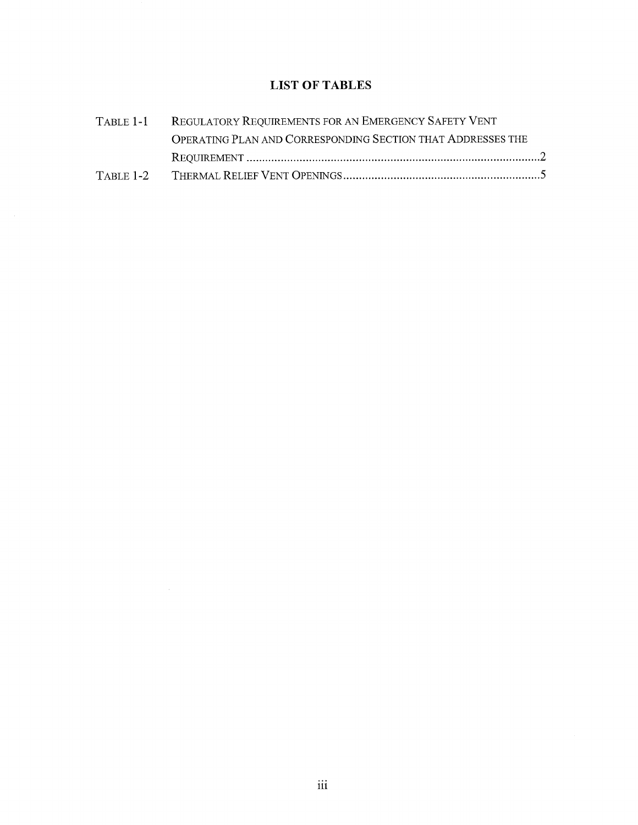### **LIST OF TABLES**

| TABLE 1-1 REGULATORY REQUIREMENTS FOR AN EMERGENCY SAFETY VENT |  |
|----------------------------------------------------------------|--|
| OPERATING PLAN AND CORRESPONDING SECTION THAT ADDRESSES THE    |  |
|                                                                |  |
|                                                                |  |

 $\mathcal{L}^{\text{max}}_{\text{max}}$  and  $\mathcal{L}^{\text{max}}_{\text{max}}$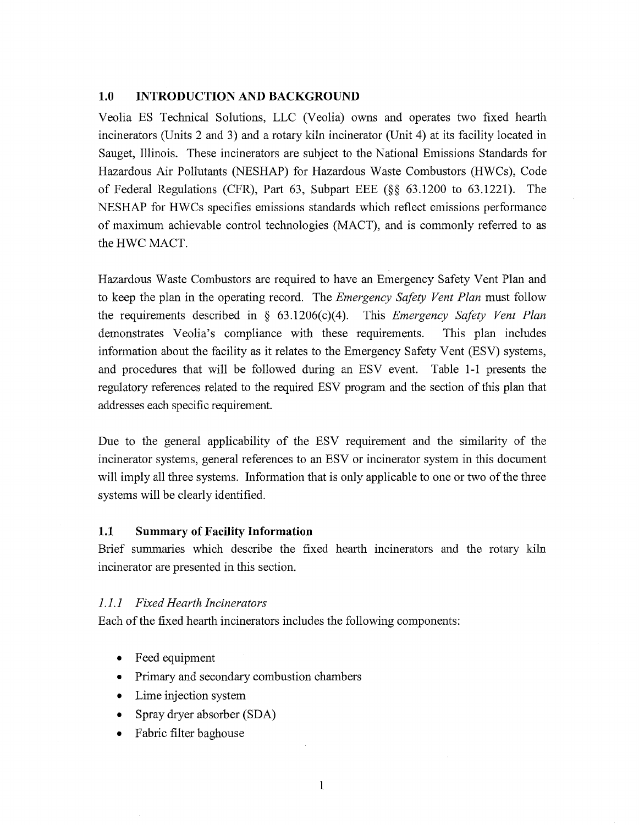#### **1.0 INTRODUCTION AND BACKGROUND**

Veolia ES Technical Solutions, LLC (Veolia) owns and operates two fixed hearth incinerators (Units 2 and 3) and a rotary kiln incinerator (Unit 4) at its facility located in Sauget, Illinois. These incinerators are subject to the National Emissions Standards for Hazardous Air Pollutants (NESHAP) for Hazardous Waste Combustors (HWCs), Code of Federal Regulations (CFR), Part 63, Subpart EEE (§§ 63.1200 to 63.1221). The NESHAP for HWCs specifies emissions standards which reflect emissions performance of maximum achievable control technologies (MACT), and is commonly referred to as the HWC MACT.

Hazardous Waste Combustors are required to have an Emergency Safety Vent Plan and to keep the plan in the operating record. The *Emergency Safety Vent Plan* must follow the requirements described in § 63.1206(c)(4). This *Emergency Safety Vent Plan*  demonstrates Veolia's compliance with these requirements. This plan includes information about the facility as it relates to the Emergency Safety Vent (ESV) systems, and procedures that will be followed during an ESV event. Table 1-1 presents the regulatory references related to the required ESV program and the section of this plan that addresses each specific requirement.

Due to the general applicability of the ESV requirement and the similarity of the incinerator systems, general references to an ESV or incinerator system in this document will imply all three systems. Information that is only applicable to one or two of the three systems will be clearly identified.

#### **1.1 Summary of Facility Information**

Brief summaries which describe the fixed hearth incinerators and the rotary kiln incinerator are presented in this section.

#### *1.1.1 Fixed Hearth Incinerators*

Each of the fixed hearth incinerators includes the following components:

- Feed equipment
- Primary and secondary combustion chambers
- Lime injection system
- Spray dryer absorber (SDA)
- Fabric filter baghouse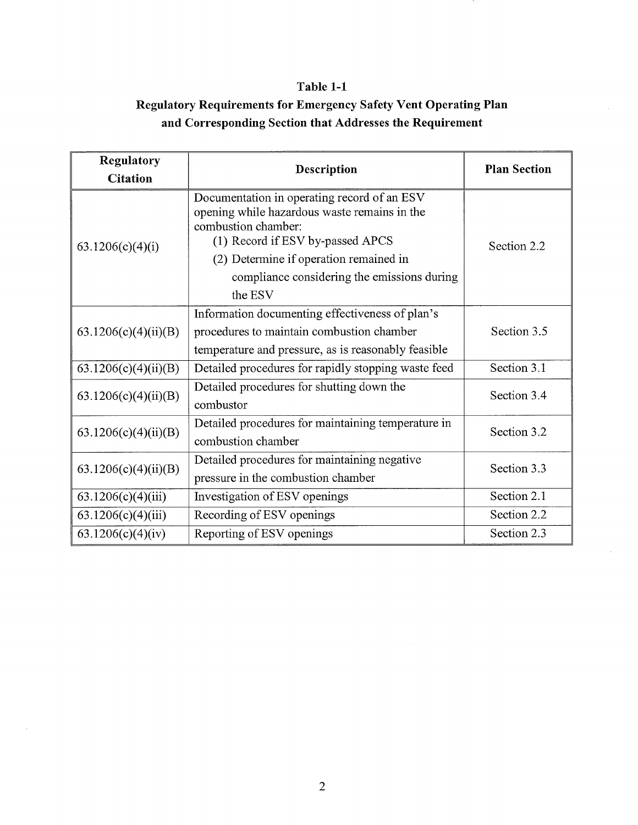## **Table 1-1**

# **Regulatory Requirements for Emergency Safety Vent Operating Plan and Corresponding Section that Addresses the Requirement**

| Regulatory           | Description                                                                                                                                                                                      | <b>Plan Section</b> |  |
|----------------------|--------------------------------------------------------------------------------------------------------------------------------------------------------------------------------------------------|---------------------|--|
| <b>Citation</b>      |                                                                                                                                                                                                  |                     |  |
| 63.1206(c)(4)(i)     | Documentation in operating record of an ESV<br>opening while hazardous waste remains in the<br>combustion chamber:<br>(1) Record if ESV by-passed APCS<br>(2) Determine if operation remained in | Section 2.2         |  |
|                      | compliance considering the emissions during<br>the ESV                                                                                                                                           |                     |  |
| 63.1206(c)(4)(ii)(B) | Information documenting effectiveness of plan's<br>procedures to maintain combustion chamber<br>temperature and pressure, as is reasonably feasible                                              | Section 3.5         |  |
| 63.1206(c)(4)(ii)(B) | Detailed procedures for rapidly stopping waste feed                                                                                                                                              | Section 3.1         |  |
| 63.1206(c)(4)(ii)(B) | Detailed procedures for shutting down the<br>combustor                                                                                                                                           | Section 3.4         |  |
| 63.1206(c)(4)(ii)(B) | Detailed procedures for maintaining temperature in<br>combustion chamber                                                                                                                         | Section 3.2         |  |
| 63.1206(c)(4)(ii)(B) | Detailed procedures for maintaining negative<br>pressure in the combustion chamber                                                                                                               | Section 3.3         |  |
| 63.1206(c)(4)(iii)   | Investigation of ESV openings                                                                                                                                                                    | Section 2.1         |  |
| 63.1206(c)(4)(iii)   | Recording of ESV openings                                                                                                                                                                        | Section 2.2         |  |
| 63.1206(c)(4)(iv)    | Reporting of ESV openings                                                                                                                                                                        | Section 2.3         |  |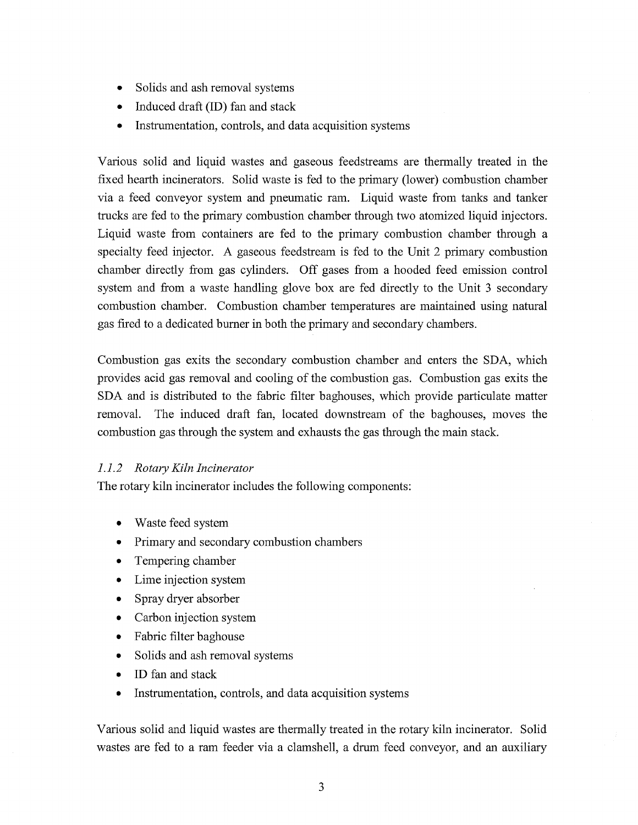- Solids and ash removal systems
- Induced draft (ID) fan and stack
- Instrumentation, controls, and data acquisition systems

Various solid and liquid wastes and gaseous feedstreams are thermally treated in the fixed hearth incinerators. Solid waste is fed to the primary (lower) combustion chamber via a feed conveyor system and pneumatic ram. Liquid waste from tanks and tanker trucks are fed to the primary combustion chamber through two atomized liquid injectors. Liquid waste from containers are fed to the primary combustion chamber through a specialty feed injector. A gaseous feedstream is fed to the Unit 2 primary combustion chamber directly from gas cylinders. Off gases from a hooded feed emission control system and from a waste handling glove box are fed directly to the Unit 3 secondary combustion chamber. Combustion chamber temperatures are maintained using natural gas fired to a dedicated burner in both the primary and secondary chambers.

Combustion gas exits the secondary combustion chamber and enters the SDA, which provides acid gas removal and cooling of the combustion gas. Combustion gas exits the SDA and is distributed to the fabric filter baghouses, which provide particulate matter removal. The induced draft fan, located downstream of the baghouses, moves the combustion gas through the system and exhausts the gas through the main stack.

### *1.1.2 Rotary Kiln Incinerator*

The rotary kiln incinerator includes the following components:

- Waste feed system
- Primary and secondary combustion chambers
- Tempering chamber
- Lime injection system
- Spray dryer absorber
- Carbon injection system
- Fabric filter baghouse
- Solids and ash removal systems
- ID fan and stack
- Instrumentation, controls, and data acquisition systems

Various solid and liquid wastes are thermally treated in the rotary kiln incinerator. Solid wastes are fed to a ram feeder via a clamshell, a drum feed conveyor, and an auxiliary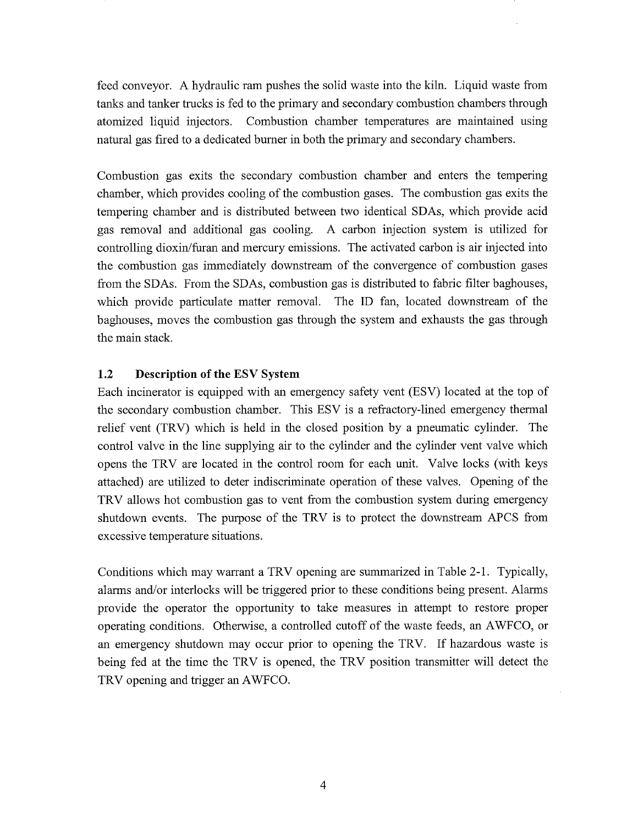feed conveyor. A hydraulic ram pushes the solid waste into the kiln. Liquid waste from tanks and tanker trucks is fed to the primary and secondary combustion chambers through atomized liquid injectors. Combustion chamber temperatures are maintained using natural gas fired to a dedicated burner in both the primary and secondary chambers.

Combustion gas exits the secondary combustion chamber and enters the tempering chamber, which provides cooling of the combustion gases. The combustion gas exits the tempering chamber and is distributed between two identical SDAs, which provide acid gas removal and additional gas cooling. A carbon injection system is utilized for controlling dioxin/furan and mercury emissions. The activated carbon is air injected into the combustion gas immediately downstream of the convergence of combustion gases from the SDAs. From the SDAs, combustion gas is distributed to fabric filter baghouses, which provide particulate matter removal. The ID fan, located downstream of the baghouses, moves the combustion gas through the system and exhausts the gas through the main stack.

#### **1.2 Description of the ESV System**

Each incinerator is equipped with an emergency safety vent (ESV) located at the top of the secondary combustion chamber. This ESV is a refractory-lined emergency thermal relief vent (TRV) which is held in the closed position by a pneumatic cylinder. The control valve in the line supplying air to the cylinder and the cylinder vent valve which opens the TRV are located in the control room for each unit. Valve locks (with keys attached) are utilized to deter indiscriminate operation of these valves. Opening of the T RV allows hot combustion gas to vent from the combustion system during emergency shutdown events. The purpose of the TRV is to protect the downstream APCS from excessive temperature situations.

Conditions which may warrant a TRV opening are summarized in Table 2-1. Typically, alarms and/or interlocks will be triggered prior to these conditions being present. Alarms provide the operator the opportunity to take measures in attempt to restore proper operating conditions. Otherwise, a controlled cutoff of the waste feeds, an AWFCO, or an emergency shutdown may occur prior to opening the TRV. If hazardous waste is being fed at the time the TRV is opened, the TRV position transmitter will detect the TRV opening and trigger an AWFCO.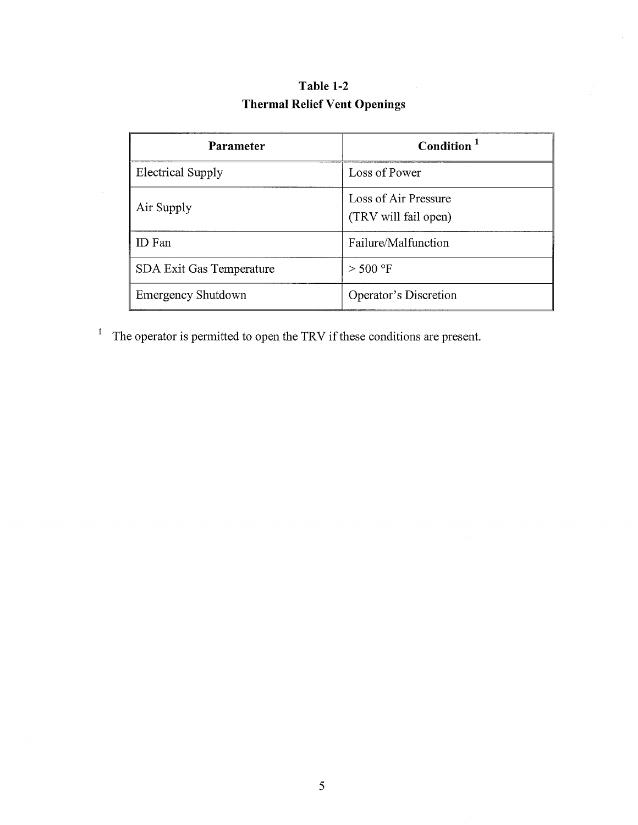| Table 1-2                           |  |  |  |  |  |
|-------------------------------------|--|--|--|--|--|
| <b>Thermal Relief Vent Openings</b> |  |  |  |  |  |

| <b>Parameter</b>         | Condition <sup>1</sup>                       |
|--------------------------|----------------------------------------------|
| <b>Electrical Supply</b> | Loss of Power                                |
| Air Supply               | Loss of Air Pressure<br>(TRV will fail open) |
| ID Fan                   | Failure/Malfunction                          |
| SDA Exit Gas Temperature | $>$ 500 °F                                   |
| Emergency Shutdown       | Operator's Discretion                        |

<sup>1</sup> The operator is permitted to open the TRV if these conditions are present.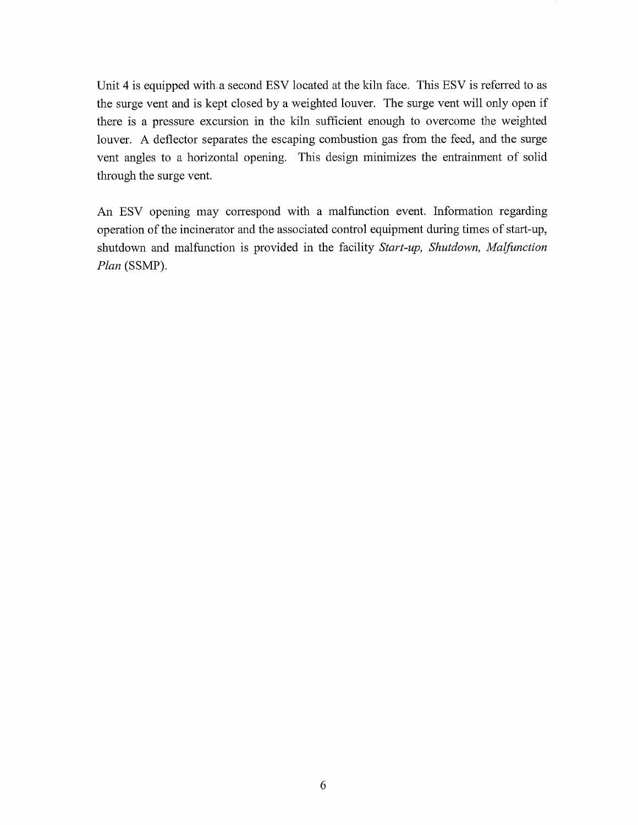Unit 4 is equipped with, a second ESV located at the kiln face. This ESV is referred to as the surge vent and is kept closed by a weighted louver. The surge vent will only open if there is a pressure excursion in the kiln sufficient enough to overcome the weighted louver. A deflector separates the escaping combustion gas from the feed, and the surge vent angles to a horizontal opening. This design minimizes the entrainment of solid through the surge vent.

An ESV opening may correspond with a malfunction event. Information regarding operation of the incinerator and the associated control equipment during times of start-up, shutdown and malfunction is provided in the facility *Start-up, Shutdown, Malfunction Plan* (SSMP).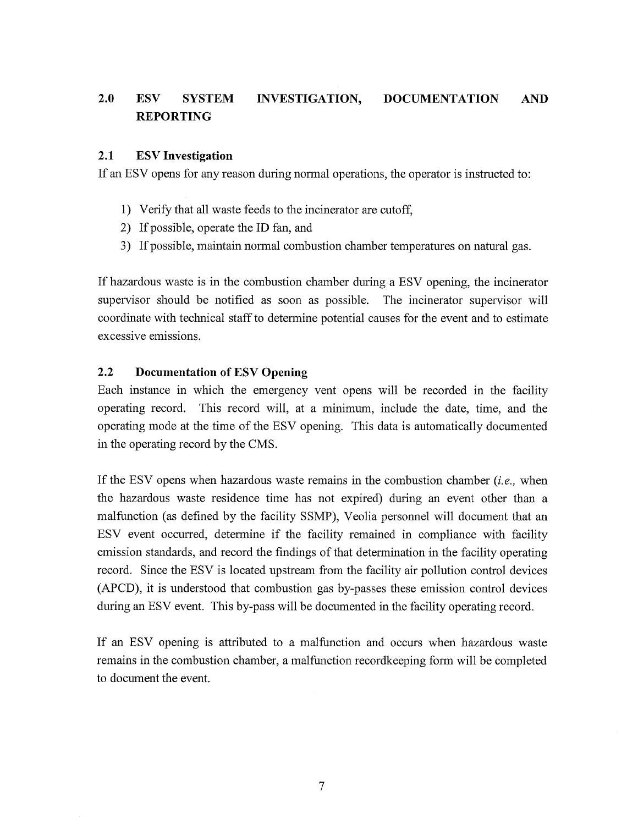# **2.0 ESV SYSTEM INVESTIGATION, DOCUMENTATION AND REPORTING**

### **2.1 ESV Investigation**

If an ESV opens for any reason during normal operations, the operator is instructed to:

- 1) Verify that all waste feeds to the incinerator are cutoff,
- 2) If possible, operate the ID fan, and
- 3) If possible, maintain normal combustion chamber temperatures on natural gas.

If hazardous waste is in the combustion chamber during a ESV opening, the incinerator supervisor should be notified as soon as possible. The incinerator supervisor will coordinate with technical staff to determine potential causes for the event and to estimate excessive emissions.

### **2.2 Documentation of ESV Opening**

Each instance in which the emergency vent opens will be recorded in the facility operating record. This record will, at a minimum, include the date, time, and the operating mode at the time of the ESV opening. This data is automatically documented in the operating record by the CMS.

If the ESV opens when hazardous waste remains in the combustion chamber *{i.e.,* when the hazardous waste residence time has not expired) during an event other than a malfunction (as defined by the facility SSMP), Veolia personnel will document that an E SV event occurred, determine if the facility remained in compliance with facility emission standards, and record the findings of that determination in the facility operating record. Since the ESV is located upstream from the facility air pollution control devices (APCD), it is understood that combustion gas by-passes these emission control devices during an ESV event. This by-pass will be documented in the facility operating record.

If an ESV opening is attributed to a malfunction and occurs when hazardous waste remains in the combustion chamber, a malfunction recordkeeping form will be completed to document the event.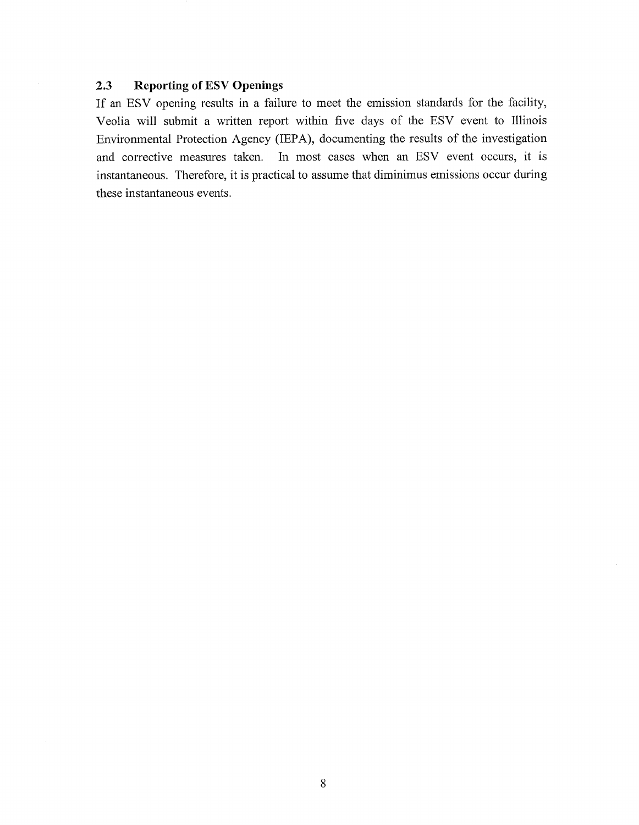### **2.3 Reporting of ESV Openings**

If an ESV opening results in a failure to meet the emission standards for the facility, Veolia will submit a written report within five days of the ESV event to Illinois Environmental Protection Agency (IEPA), documenting the results of the investigation and corrective measures taken. In most cases when an ESV event occurs, it is instantaneous. Therefore, it is practical to assume that diminimus emissions occur during these instantaneous events.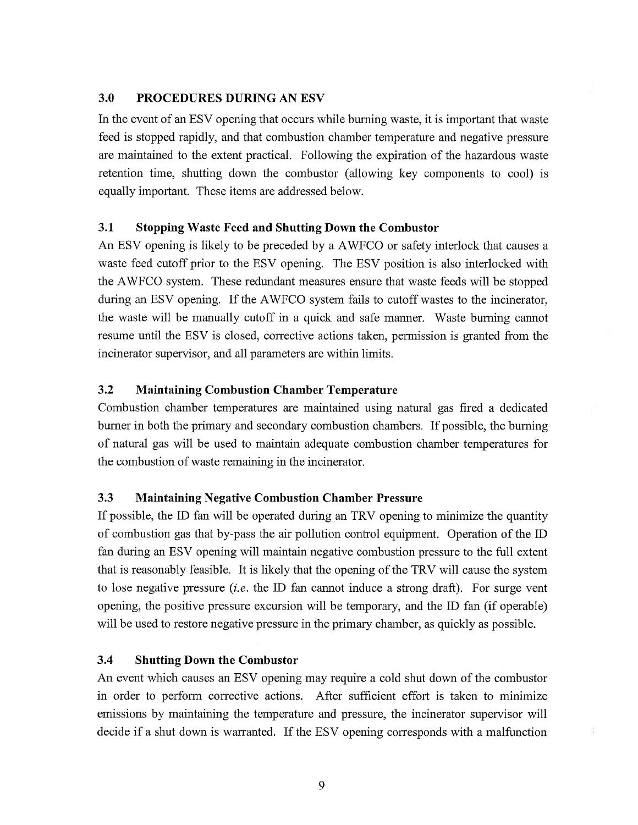### **3.0 PROCEDURES DURING AN ESV**

In the event of an ESV opening that occurs while burning waste, it is important that waste feed is stopped rapidly, and that combustion chamber temperature and negative pressure are maintained to the extent practical. Following the expiration of the hazardous waste retention time, shutting down the combustor (allowing key components to cool) is equally important. These items are addressed below.

### **3.1 Stopping Waste Feed and Shutting Down the Combustor**

An ESV opening is likely to be preceded by a AWFCO or safety interlock that causes a waste feed cutoff prior to the ESV opening. The ESV position is also interlocked with the AWFCO system. These redundant measures ensure that waste feeds will be stopped during an ESV opening. If the AWFCO system fails to cutoff wastes to the incinerator, the waste will be manually cutoff in a quick and safe manner. Waste burning cannot resume until the ESV is closed, corrective actions taken, permission is granted from the incinerator supervisor, and all parameters are within limits.

### **3.2 Maintaining Combustion Chamber Temperature**

Combustion chamber temperatures are maintained using natural gas fired a dedicated burner in both the primary and secondary combustion chambers. If possible, the burning of natural gas will be used to maintain adequate combustion chamber temperatures for the combustion of waste remaining in the incinerator.

### **3.3 Maintaining Negative Combustion Chamber Pressure**

If possible, the ID fan will be operated during an TRV opening to minimize the quantity of combustion gas that by-pass the air pollution control equipment. Operation of the ID fan during an ESV opening will maintain negative combustion pressure to the full extent that is reasonably feasible. It is likely that the opening of the TRV will cause the system to lose negative pressure *(i.e.* the ID fan cannot induce a strong draft). For surge vent opening, the positive pressure excursion will be temporary, and the ID fan (if operable) will be used to restore negative pressure in the primary chamber, as quickly as possible.

### **3.4 Shutting Down the Combustor**

An event which causes an ESV opening may require a cold shut down of the combustor in order to perform corrective actions. After sufficient effort is taken to minimize emissions by maintaining the temperature and pressure, the incinerator supervisor will decide if a shut down is warranted. If the ESV opening corresponds with a malfunction